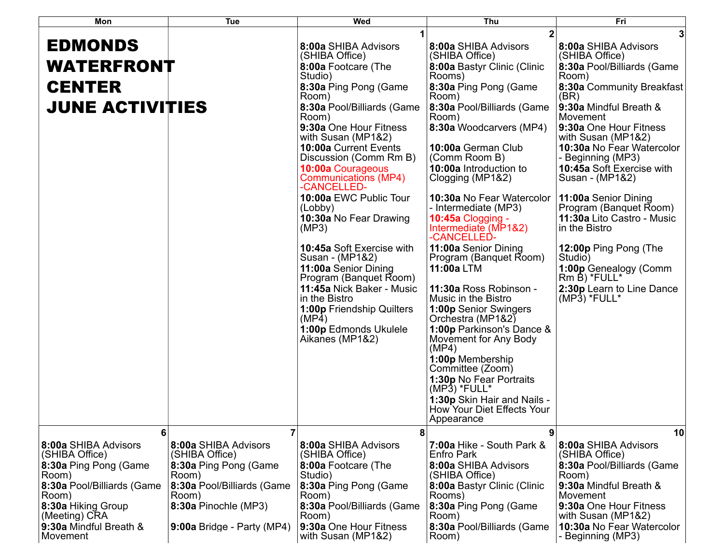| Mon                                    | Tue                                    | Wed                                                      | Thu                                                                     | Fri                                            |
|----------------------------------------|----------------------------------------|----------------------------------------------------------|-------------------------------------------------------------------------|------------------------------------------------|
|                                        |                                        |                                                          |                                                                         | 3                                              |
| <b>EDMONDS</b>                         |                                        | 8:00a SHIBA Advisors<br>(SHIBA Office)                   | 8:00a SHIBA Advisors<br>(SHIBA Office)                                  | 8:00a SHIBA Advisors<br>(SHIBA Office)         |
| <b>WATERFRONT</b>                      |                                        | 8:00a Footcare (The<br>Studio)                           | 8:00a Bastyr Clinic (Clinic<br>Rooms)                                   | 8:30a Pool/Billiards (Game<br>Room)            |
| <b>CENTER</b>                          |                                        | 8:30a Ping Pong (Game<br>Room)                           | 8:30a Ping Pong (Game<br>Room)                                          | 8:30a Community Breakfast<br>(BR)              |
| <b>JUNE ACTIVITIES</b>                 |                                        | 8:30a Pool/Billiards (Game<br>Room)                      | 8:30a Pool/Billiards (Game<br>Room)                                     | 9:30a Mindful Breath &<br>Movement             |
|                                        |                                        | 9:30a One Hour Fitness<br>with Susan (MP1&2)             | 8:30a Woodcarvers (MP4)                                                 | 9:30a One Hour Fitness<br>with Susan (MP1&2)   |
|                                        |                                        | 10:00a Current Events<br>Discussion (Comm Rm B)          | 10:00a German Club<br>(Comm Room B)                                     | 10:30a No Fear Watercolor<br>- Beginning (MP3) |
|                                        |                                        | 10:00a Courageous<br>Communications (MP4)<br>-CANCELLED- | 10:00a Introduction to<br>Clogging (MP1&2)                              | 10:45a Soft Exercise with<br>Susan - (MP1&2)   |
|                                        |                                        | 10:00a EWC Public Tour<br>(Lobby)                        | 10:30a No Fear Watercolor<br>- Intermediate (MP3)                       | 11:00a Senior Dining<br>Program (Banquet Room) |
|                                        |                                        | 10:30a No Fear Drawing<br>(MP3)                          | 10:45a Clogging -<br>Intermediate (MP1&2)<br>-CANCELLED-                | 11:30a Lito Castro - Music<br>in the Bistro    |
|                                        |                                        | 10:45a Soft Exercise with<br>Susan - (MP1&2)             | 11:00a Senior Dining<br>Program (Banquet Room)                          | 12:00p Ping Pong (The<br>Studio)               |
|                                        |                                        | 11:00a Senior Dining<br>Program (Banquet Room)           | 11:00a LTM                                                              | 1:00p Genealogy (Comm<br>Rm B) *FULL*          |
|                                        |                                        | 11:45a Nick Baker - Music<br>in the Bistro               | 11:30a Ross Robinson -<br>Music in the Bistro                           | 2:30p Learn to Line Dance<br>$(MP3)$ *FULL*    |
|                                        |                                        | <b>1:00p Friendship Quilters</b><br>(MP4)                | <b>1:00p Senior Swingers</b><br>Orchestra (MP1&2)                       |                                                |
|                                        |                                        | 1:00p Edmonds Ukulele<br>Aikanes (MP1&2)                 | 1:00p Parkinson's Dance &<br>Movement for Any Body<br>(MP4)             |                                                |
|                                        |                                        |                                                          | 1:00p Membership<br>Committee (Zoom)                                    |                                                |
|                                        |                                        |                                                          | 1:30p No Fear Portraits<br>$(MP3)$ *FULL*                               |                                                |
|                                        |                                        |                                                          | 1:30p Skin Hair and Nails -<br>How Your Diet Effects Your<br>Appearance |                                                |
| 6                                      | 7                                      | 8                                                        | $\boldsymbol{9}$                                                        | 10                                             |
| 8:00a SHIBA Advisors<br>(SHIBA Office) | 8:00a SHIBA Advisors<br>(SHIBA Office) | 8:00a SHIBA Advisors<br>(SHIBA Office)                   | 7:00a Hike - South Park &<br>Enfro Park                                 | 8:00a SHIBA Advisors<br>(SHIBA Office)         |
| 8:30a Ping Pong (Game<br>Room)         | 8:30a Ping Pong (Game<br>Room)         | 8:00a Footcare (The<br>Studio)                           | 8:00a SHIBA Advisors<br>(SHIBA Office)                                  | 8:30a Pool/Billiards (Game<br>Room)            |
| 8:30a Pool/Billiards (Game<br>Room)    | 8:30a Pool/Billiards (Game<br>Room)    | 8:30a Ping Pong (Game<br>Room)                           | 8:00a Bastyr Clinic (Clinic<br>Rooms)                                   | 9:30a Mindful Breath &<br>Movement             |
| 8:30a Hiking Group<br>(Meeting) CRA    | 8:30a Pinochle (MP3)                   | 8:30a Pool/Billiards (Game<br>Room)                      | 8:30a Ping Pong (Game<br>Room)                                          | 9:30a One Hour Fitness<br>with Susan (MP1&2)   |
| 9:30a Mindful Breath &<br>Movement     | 9:00a Bridge - Party (MP4)             | 9:30a One Hour Fitness<br>with Susan (MP1&2)             | 8:30a Pool/Billiards (Game<br>Room)                                     | 10:30a No Fear Watercolor<br>- Beginning (MP3) |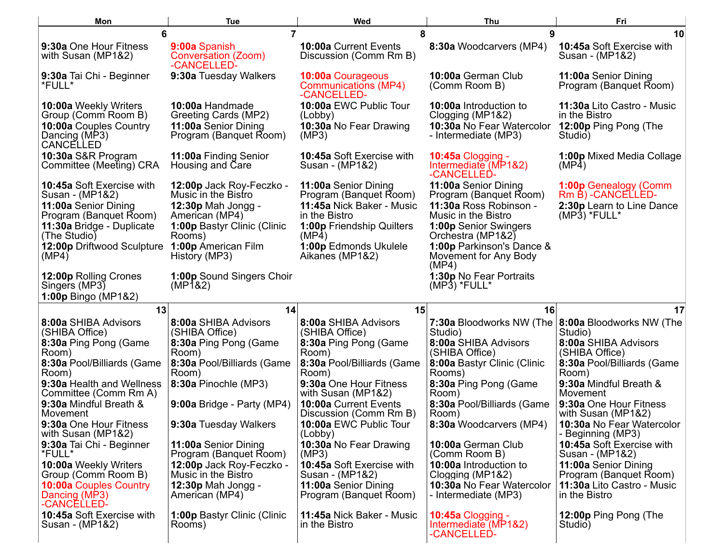| Mon                                                    | <b>Tue</b>                                                 | Wed                                                      | Thu                                                         | Fri                                                          |
|--------------------------------------------------------|------------------------------------------------------------|----------------------------------------------------------|-------------------------------------------------------------|--------------------------------------------------------------|
| 6                                                      | $\overline{7}$                                             | 8                                                        | 9                                                           | 10                                                           |
| 9:30a One Hour Fitness<br>with Susan (MP1&2)           | 9:00a Spanish<br><b>Conversation (Zoom)</b><br>-CANCELLED- | 10:00a Current Events<br>Discussion (Comm Rm B)          | 8:30a Woodcarvers (MP4)                                     | 10:45a Soft Exercise with<br>Susan - (MP1&2)                 |
| 9:30a Tai Chi - Beginner<br>*FULL*                     | 9:30a Tuesday Walkers                                      | 10:00a Courageous<br>Communications (MP4)<br>-CANCELLED- | 10:00a German Club<br>(Comm Room B)                         | 11:00a Senior Dining<br>Program (Banquet Room)               |
| 10:00a Weekly Writers<br>Group (Comm Room B)           | 10:00a Handmade<br>Greeting Cards (MP2)                    | 10:00a EWC Public Tour<br>(Lobby)                        | 10:00a Introduction to<br>Clogging (MP1&2)                  | 11:30a Lito Castro - Music<br>in the Bistro                  |
| 10:00a Couples Country<br>Dancing (MP3)<br>CANCELLED   | 11:00a Senior Dining<br>Program (Banquet Room)             | 10:30a No Fear Drawing<br>(MP3)                          | 10:30a No Fear Watercolor<br>- Intermediate (MP3)           | 12:00p Ping Pong (The<br>Studio)                             |
| 10:30a S&R Program<br>Committee (Meeting) CRA          | 11:00a Finding Senior<br>Housing and Care                  | 10:45a Soft Exercise with<br>Susan - (MP1&2)             | 10:45a Clogging -<br>Intermediate (MP1&2)<br>-CANCELLED-    | 1:00p Mixed Media Collage<br>(MP4)                           |
| 10:45a Soft Exercise with<br>Susan - (MP1&2)           | 12:00p Jack Roy-Feczko -<br>Music in the Bistro            | 11:00a Senior Dining<br>Program (Banquet Room)           | 11:00a Senior Dining<br>Program (Banquet Room)              | 1:00p Genealogy (Comm<br>Rm B) - CANCELLED-                  |
| 11:00a Senior Dining<br>Program (Banquet Room)         | 12:30p Mah Jongg -<br>American (MP4)                       | 11:45a Nick Baker - Music<br>in the Bistro               | 11:30a Ross Robinson -<br>Music in the Bistro               | 2:30p Learn to Line Dance<br>$(MP3)$ *FULL*                  |
| 11:30a Bridge - Duplicate<br>(The Studio)              | 1:00p Bastyr Clinic (Clinic<br>Rooms)                      | 1:00p Friendship Quilters<br>(MP4)                       | 1:00p Senior Swingers<br>Orchestra (MP1&2)                  |                                                              |
| 12:00p Driftwood Sculpture<br>(MP4)                    | 1:00p American Film<br>History (MP3)                       | 1:00p Edmonds Ukulele<br>Aikanes (MP1&2)                 | 1:00p Parkinson's Dance &<br>Movement for Any Body<br>(MP4) |                                                              |
| 12:00p Rolling Crones<br>Singers (MP3)                 | 1:00p Sound Singers Choir<br>(MP <sup>1</sup> 82)          |                                                          | 1:30p No Fear Portraits<br>$(MP3)$ *FULL*                   |                                                              |
| 1:00p Bingo (MP1&2)                                    |                                                            |                                                          |                                                             |                                                              |
| 13                                                     | 14                                                         | 15                                                       | 16                                                          | 17                                                           |
| 8:00a SHIBA Advisors<br>(SHIBA Office)                 | 8:00a SHIBA Advisors<br>(SHIBA Office)                     | 8:00a SHIBA Advisors<br>(SHIBA Office)                   | Studio)                                                     | 7:30a Bloodworks NW (The 8:00a Bloodworks NW (The<br>Studio) |
| 8:30a Ping Pong (Game<br>Room)                         | 8:30a Ping Pong (Game<br>Room)                             | 8:30a Ping Pong (Game<br>Room)                           | 8:00a SHIBA Advisors<br>(SHIBA Office)                      | 8:00a SHIBA Advisors<br>(SHIBA Office)                       |
| 8:30a Pool/Billiards (Game<br>Room)                    | 8:30a Pool/Billiards (Game<br>Room)                        | 8:30a Pool/Billiards (Game<br>Room)                      | 8:00a Bastyr Clinic (Clinic<br>Rooms)                       | 8:30a Pool/Billiards (Game<br>Room)                          |
| 9:30a Health and Wellness<br>Committee (Comm Rm A)     | 8:30a Pinochle (MP3)                                       | 9:30a One Hour Fitness<br>with Susan (MP1&2)             | 8:30a Ping Pong (Game<br>Room)                              | 9:30a Mindful Breath &<br>Movement                           |
| 9:30a Mindful Breath &<br>Movement                     | 9:00a Bridge - Party (MP4)                                 | 10:00a Current Events<br>Discussion (Comm Rm B)          | 8:30a Pool/Billiards (Game<br>Room)                         | 9:30a One Hour Fitness<br>with Susan (MP1&2)                 |
| 9:30a One Hour Fitness<br>with Susan (MP1&2)           | 9:30a Tuesday Walkers                                      | 10:00a EWC Public Tour<br>(Lobby)                        | 8:30a Woodcarvers (MP4)                                     | 10:30a No Fear Watercolor<br>- Beginning (MP3)               |
| 9:30a Tai Chi - Beginner<br>*FULL*                     | 11:00a Senior Dining<br>Program (Banquet Room)             | 10:30a No Fear Drawing<br>(MP3)                          | 10:00a German Club<br>(Comm Room B)                         | 10:45a Soft Exercise with<br>Susan - (MP1&2)                 |
| <b>10:00a Weekly Writers</b><br>Group (Comm Room B)    | 12:00p Jack Roy-Feczko -<br>Music in the Bistro            | 10:45a Soft Exercise with<br>Susan - (MP1&2)             | 10:00a Introduction to<br>Clogging (MP1&2)                  | 11:00a Senior Dining<br>Program (Banquet Room)               |
| 10:00a Couples Country<br>Dancing (MP3)<br>-CANCELLED- | 12:30p Mah Jongg -<br>American (MP4)                       | 11:00a Senior Dining<br>Program (Banquet Room)           | 10:30a No Fear Watercolor<br>- Intermediate (MP3)           | 11:30a Lito Castro - Music<br>in the Bistro                  |
| 10:45a Soft Exercise with<br>Susan - (MP1&2)           | 1:00p Bastyr Clinic (Clinic<br>Rooms)                      | 11:45a Nick Baker - Music<br>in the Bistro               | 10:45a Clogging -<br>Intermediate (MP1&2)<br>-CANCELLED-    | 12:00p Ping Pong (The<br>Studio)                             |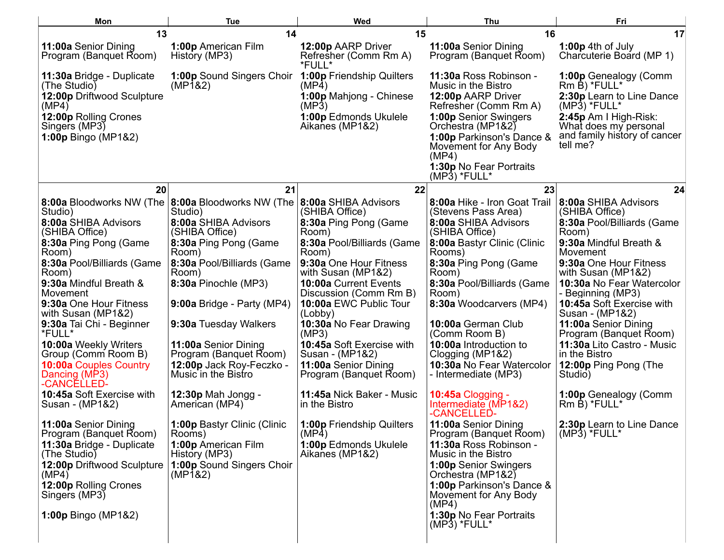| Mon                                                           | <b>Tue</b>                                               | Wed                                                   | Thu                                                                                                              | Fri                                                                                        |
|---------------------------------------------------------------|----------------------------------------------------------|-------------------------------------------------------|------------------------------------------------------------------------------------------------------------------|--------------------------------------------------------------------------------------------|
| 13                                                            | 14                                                       | 15                                                    | 16                                                                                                               | 17                                                                                         |
| 11:00a Senior Dining<br>Program (Banquet Room)                | 1:00p American Film<br>History (MP3)                     | 12:00p AARP Driver<br>Refresher (Comm Rm A)<br>*FULL* | 11:00a Senior Dining<br>Program (Banquet Room)                                                                   | 1:00p 4th of July<br>Charcuterie Board (MP 1)                                              |
| 11:30a Bridge - Duplicate<br>(The Studio)                     | 1:00p Sound Singers Choir<br>(MP1&2)                     | <b>1:00p Friendship Quilters</b><br>(MP4)             | 11:30a Ross Robinson -<br>Music in the Bistro                                                                    | 1:00p Genealogy (Comm<br>Rm B) *FULL*                                                      |
| 12:00p Driftwood Sculpture<br>(MP4)                           |                                                          | 1:00p Mahjong - Chinese<br>(MP3)                      | 12:00p AARP Driver<br>Refresher (Comm Rm A)                                                                      | 2:30p Learn to Line Dance<br>$(MP3)$ *FULL*                                                |
| 12:00p Rolling Crones<br>Singers (MP3)<br>1:00p Bingo (MP1&2) |                                                          | 1:00p Edmonds Ukulele<br>Aikanes (MP1&2)              | <b>1:00p Senior Swingers</b><br>Orchestra (MP1&2)<br>1:00p Parkinson's Dance &<br>Movement for Any Body<br>(MP4) | 2:45p Am I High-Risk:<br>What does my personal<br>and family history of cancer<br>tell me? |
|                                                               |                                                          |                                                       | 1:30p No Fear Portraits<br>$(MP3)$ *FULL*                                                                        |                                                                                            |
| 20                                                            | 21                                                       | 22                                                    | 23                                                                                                               | 24                                                                                         |
| 8:00a Bloodworks NW (The<br>Studio)                           | 8:00a Bloodworks NW (The 8:00a SHIBA Advisors<br>Studio) | (SHIBA Office)                                        | 8:00a Hike - Iron Goat Trail<br>(Stevens Pass Area)                                                              | 8:00a SHIBA Advisors<br>(SHIBA Office)                                                     |
| 8:00a SHIBA Advisors<br>(SHIBA Office)                        | 8:00a SHIBA Advisors<br>(SHIBA Office)                   | 8:30a Ping Pong (Game<br>Room)                        | 8:00a SHIBA Advisors<br>(SHIBA Office)                                                                           | 8:30a Pool/Billiards (Game<br>Room)                                                        |
| 8:30a Ping Pong (Game<br>Room)                                | 8:30a Ping Pong (Game<br>Room)                           | 8:30a Pool/Billiards (Game<br>Room)                   | 8:00a Bastyr Clinic (Clinic<br>Rooms)                                                                            | 9:30a Mindful Breath &<br>Movement                                                         |
| 8:30a Pool/Billiards (Game<br>Room)                           | 8:30a Pool/Billiards (Game<br>Room)                      | 9:30a One Hour Fitness<br>with Susan (MP1&2)          | 8:30a Ping Pong (Game<br>Room)                                                                                   | 9:30a One Hour Fitness<br>with Susan (MP1&2)                                               |
| 9:30a Mindful Breath &<br>Movement                            | 8:30a Pinochle (MP3)                                     | 10:00a Current Events<br>Discussion (Comm Rm B)       | 8:30a Pool/Billiards (Game<br>Room)                                                                              | 10:30a No Fear Watercolor<br>- Beginning (MP3)                                             |
| 9:30a One Hour Fitness<br>with Susan (MP1&2)                  | 9:00a Bridge - Party (MP4)                               | 10:00a EWC Public Tour<br>(Lobby)                     | 8:30a Woodcarvers (MP4)                                                                                          | 10:45a Soft Exercise with<br>Susan - (MP1&2)                                               |
| 9:30a Tai Chi - Beginner<br>*FULL*                            | 9:30a Tuesday Walkers                                    | 10:30a No Fear Drawing<br>(MP3)                       | 10:00a German Club<br>(Comm Room B)                                                                              | 11:00a Senior Dining<br>Program (Banquet Room)                                             |
| 10:00a Weekly Writers<br>Group (Comm Room B)                  | 11:00a Senior Dining<br>Program (Banquet Room)           | 10:45a Soft Exercise with<br>Susan - (MP1&2)          | 10:00a Introduction to<br>Clogging (MP1&2)                                                                       | 11:30a Lito Castro - Music<br>in the Bistro                                                |
| <b>10:00a Couples Country</b><br>Dancing (MP3)<br>-CANCELLED- | 12:00p Jack Roy-Feczko -<br>Music in the Bistro          | 11:00a Senior Dining<br>Program (Banquet Room)        | 10:30a No Fear Watercolor<br>- Intermediate (MP3)                                                                | 12:00p Ping Pong (The<br>Studio)                                                           |
| 10:45a Soft Exercise with<br>Susan - (MP1&2)                  | <b>12:30p Mah Jongg -</b><br>American (MP4)              | 11:45a Nick Baker - Music<br>in the Bistro            | <b>10:45a Clogging -</b><br>Intermediate (MP1&2)<br>-CANCELLED-                                                  | 1:00p Genealogy (Comm<br>Rm B) *FULL*                                                      |
| 11:00a Senior Dining<br>Program (Banquet Room)                | 1:00p Bastyr Clinic (Clinic<br>Rooms)                    | 1:00p Friendship Quilters<br>(MP4)                    | 11:00a Senior Dining<br>Program (Banquet Room)                                                                   | 2:30p Learn to Line Dance<br>$(MP3)$ *FULL*                                                |
| 11:30a Bridge - Duplicate<br>(The Studio)                     | 1:00p American Film<br>History (MP3)                     | 1:00p Edmonds Ukulele<br>Aikanes (MP1&2)              | 11:30a Ross Robinson -<br>Music in the Bistro                                                                    |                                                                                            |
| 12:00p Driftwood Sculpture<br>(MP4)                           | 1:00p Sound Singers Choir<br>(MP1&2)                     |                                                       | 1:00p Senior Swingers<br>Orchestra (MP1&2)                                                                       |                                                                                            |
| 12:00p Rolling Crones<br>Singers (MP3)                        |                                                          |                                                       | 1:00p Parkinson's Dance &<br>Movement for Any Body<br>(MP4)                                                      |                                                                                            |
| 1:00p Bingo (MP1&2)                                           |                                                          |                                                       | 1:30p No Fear Portraits<br>$(MP3)$ *FULL*                                                                        |                                                                                            |
|                                                               |                                                          |                                                       |                                                                                                                  |                                                                                            |